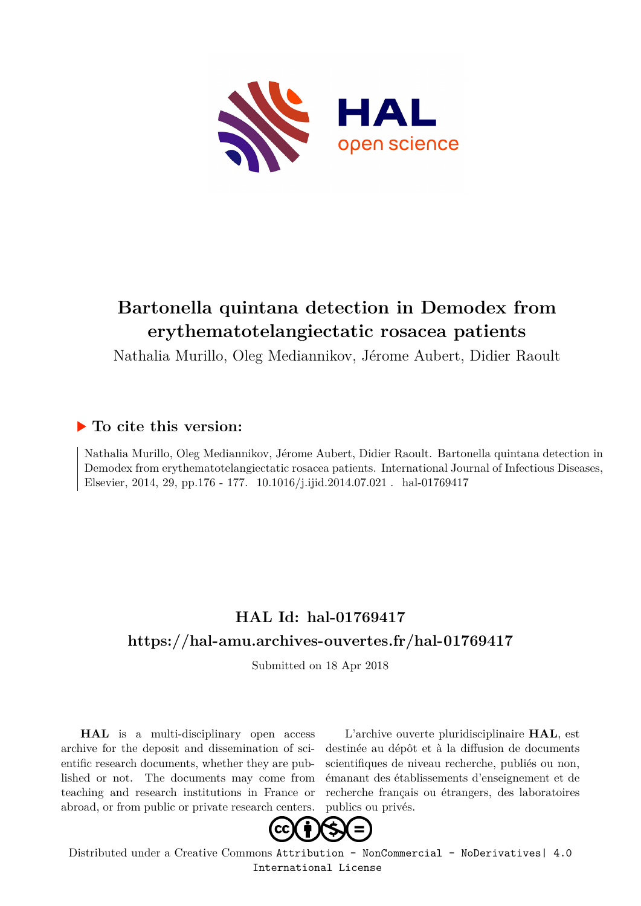

# **Bartonella quintana detection in Demodex from erythematotelangiectatic rosacea patients**

Nathalia Murillo, Oleg Mediannikov, Jérome Aubert, Didier Raoult

# **To cite this version:**

Nathalia Murillo, Oleg Mediannikov, Jérome Aubert, Didier Raoult. Bartonella quintana detection in Demodex from erythematotelangiectatic rosacea patients. International Journal of Infectious Diseases, Elsevier, 2014, 29, pp.176 - 177. 10.1016/j.ijid.2014.07.021 . hal-01769417

# **HAL Id: hal-01769417 <https://hal-amu.archives-ouvertes.fr/hal-01769417>**

Submitted on 18 Apr 2018

**HAL** is a multi-disciplinary open access archive for the deposit and dissemination of scientific research documents, whether they are published or not. The documents may come from teaching and research institutions in France or abroad, or from public or private research centers.

L'archive ouverte pluridisciplinaire **HAL**, est destinée au dépôt et à la diffusion de documents scientifiques de niveau recherche, publiés ou non, émanant des établissements d'enseignement et de recherche français ou étrangers, des laboratoires publics ou privés.



Distributed under a Creative Commons [Attribution - NonCommercial - NoDerivatives| 4.0](http://creativecommons.org/licenses/by-nc-nd/4.0/) [International License](http://creativecommons.org/licenses/by-nc-nd/4.0/)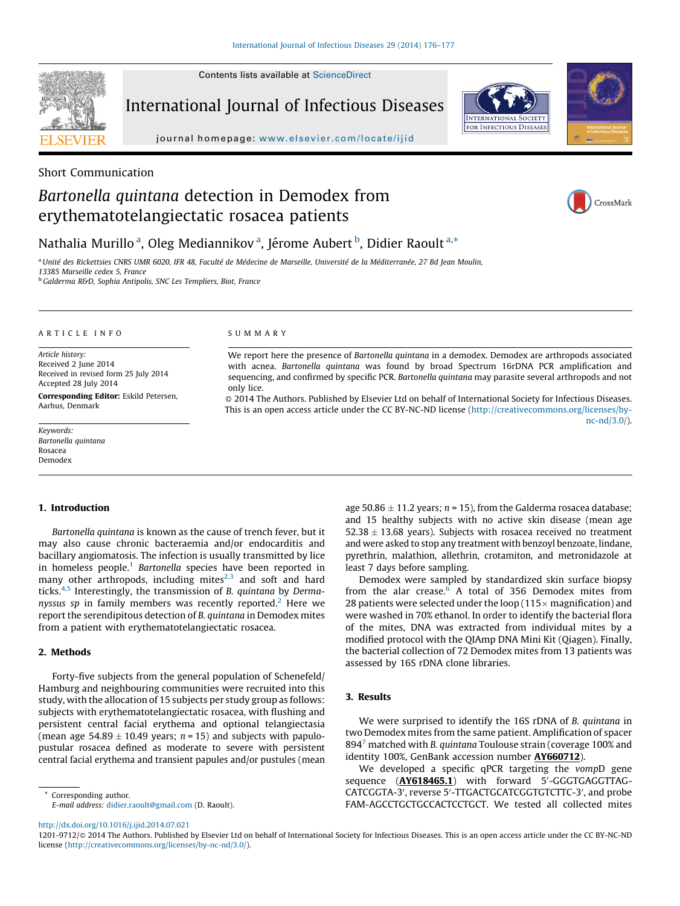Contents lists available at [ScienceDirect](http://www.sciencedirect.com/science/journal/12019712)

**SEVIER** 

International Journal of Infectious Diseases





journal homepage: <www.elsevier.com/locate/ijid>

## Short Communication

# Bartonella quintana detection in Demodex from erythematotelangiectatic rosacea patients



## Nathalia Murillo<sup>a</sup>, Oleg Mediannikov<sup>a</sup>, Jérome Aubert <sup>b</sup>, Didier Raoult<sup>a,\*</sup>

<sup>a</sup> Unité des Rickettsies CNRS UMR 6020. IFR 48, Faculté de Médecine de Marseille, Université de la Méditerranée, 27 Bd Jean Moulin,

13385 Marseille cedex 5, France

<sup>b</sup> Galderma R&D, Sophia Antipolis, SNC Les Templiers, Biot, France

#### A R T I C L E I N F O

Article history: Received 2 June 2014 Received in revised form 25 July 2014 Accepted 28 July 2014 Corresponding Editor: Eskild Petersen, Aarhus, Denmark

Keywords: Bartonella quintana Rosacea Demodex

#### S U M M A R Y

We report here the presence of Bartonella quintana in a demodex. Demodex are arthropods associated with acnea. Bartonella quintana was found by broad Spectrum 16rDNA PCR amplification and sequencing, and confirmed by specific PCR. Bartonella quintana may parasite several arthropods and not only lice.

- 2014 The Authors. Published by Elsevier Ltd on behalf of International Society for Infectious Diseases. This is an open access article under the CC BY-NC-ND license [\(http://creativecommons.org/licenses/by](http://creativecommons.org/licenses/by-nc-nd/3.0/)[nc-nd/3.0/](http://creativecommons.org/licenses/by-nc-nd/3.0/)).

### 1. Introduction

Bartonella quintana is known as the cause of trench fever, but it may also cause chronic bacteraemia and/or endocarditis and bacillary angiomatosis. The infection is usually transmitted by lice in homeless people.<sup>1</sup> Bartonella species have been reported in many other arthropods, including mites $2,3$  and soft and hard ticks. $4.5$  Interestingly, the transmission of B. quintana by Dermanyssus sp in family members was recently reported.<sup>2</sup> Here we report the serendipitous detection of B. quintana in Demodex mites from a patient with erythematotelangiectatic rosacea.

#### 2. Methods

Forty-five subjects from the general population of Schenefeld/ Hamburg and neighbouring communities were recruited into this study, with the allocation of 15 subjects per study group as follows: subjects with erythematotelangiectatic rosacea, with flushing and persistent central facial erythema and optional telangiectasia (mean age 54.89  $\pm$  10.49 years; n = 15) and subjects with papulopustular rosacea defined as moderate to severe with persistent central facial erythema and transient papules and/or pustules (mean

\* Corresponding author. E-mail address: [didier.raoult@gmail.com](mailto:didier.raoult@gmail.com) (D. Raoult).

age 50.86  $\pm$  11.2 years; n = 15), from the Galderma rosacea database; and 15 healthy subjects with no active skin disease (mean age  $52.38 \pm 13.68$  years). Subjects with rosacea received no treatment and were asked to stop any treatment with benzoyl benzoate, lindane, pyrethrin, malathion, allethrin, crotamiton, and metronidazole at least 7 days before sampling.

Demodex were sampled by standardized skin surface biopsy from the alar crease. $6$  A total of 356 Demodex mites from 28 patients were selected under the loop ( $115\times$  magnification) and were washed in 70% ethanol. In order to identify the bacterial flora of the mites, DNA was extracted from individual mites by a modified protocol with the QIAmp DNA Mini Kit (Qiagen). Finally, the bacterial collection of 72 Demodex mites from 13 patients was assessed by 16S rDNA clone libraries.

#### 3. Results

We were surprised to identify the 16S rDNA of B. quintana in two Demodex mites from the same patient. Amplification of spacer 894 $^7$  matched with B. quintana Toulouse strain (coverage 100% and identity 100%, GenBank accession number AY660712).

We developed a specific qPCR targeting the vompD gene sequence (AY618465.1) with forward 5'-GGGTGAGGTTAG-CATCGGTA-3', reverse 5'-TTGACTGCATCGGTGTCTTC-3', and probe FAM-AGCCTGCTGCCACTCCTGCT. We tested all collected mites

1201-9712/@ 2014 The Authors. Published by Elsevier Ltd on behalf of International Society for Infectious Diseases. This is an open access article under the CC BY-NC-ND license [\(http://creativecommons.org/licenses/by-nc-nd/3.0/\)](http://creativecommons.org/licenses/by-nc-nd/3.0/).

<http://dx.doi.org/10.1016/j.ijid.2014.07.021>